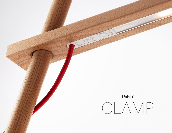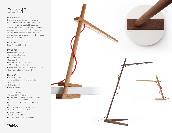# CLAMP

#### **DESCRIPTION**

Designed for simplicity and engineered for sustainability, Clamp combines the beauty of wood with the brilliance of LED technology. Clamp's minimal components work together to provide infinite adjustment, while focusing warm, diffused light where needed most. Available in clamp mount, freestanding, mini and floor models in White Oak and Walnut.

#### DESIGNER

Dana Cannam 2011 - 2013

#### MATERIALS

- Wood lamp assembly
- Polyurethane bushings
- Polycarbonate lens
- Fabric cord
- Leather clamp pad (Clamp only)
- ABS cover (Clamp FS only)
- Steel base weight (Clamp FS, Mini and Floor only)
- Brass washer (Clamp Floor only)

#### FEATURES

- 360° arm rotation
- Advanced LED array eliminates multiple shadows
- Hi-low dim control
- Ships flat-packed

#### SPECIFICATIONS

- Voltage: 120/220V 60Hz
- Power Consumption: 9W (Clamp Mini: 6W)
- Color temperature: 3000K
- Luminosity: 485 Lumens (Clamp Mini: 325 Lumens)
- Luminaire efficacy: 55 Lumens/Watt
- Color Rendition Index: 85 CRI
- 50K hour lifespan
- Cord length: 8' (244cm)
- Global multi-plug adapter available